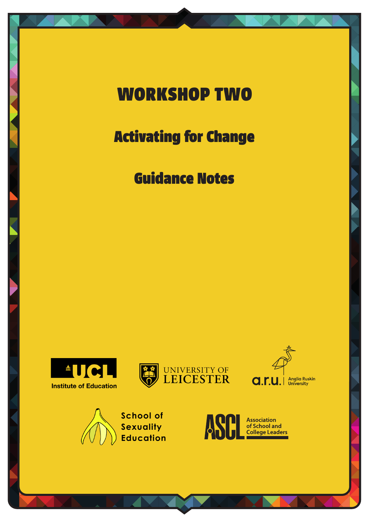# WORKSHOP TWO

## Activating for Change

### Guidance Notes









School of Sexuality **Education** 

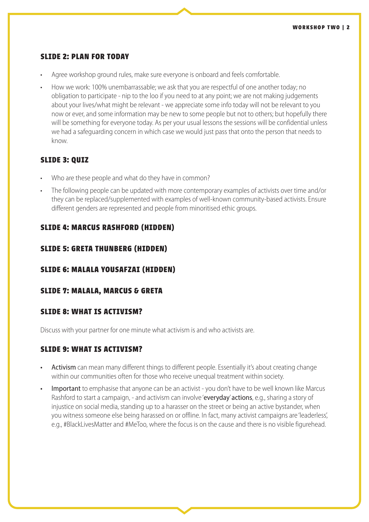#### **SLIDE 2: PLAN FOR TODAY**

- Agree workshop ground rules, make sure everyone is onboard and feels comfortable.
- How we work: 100% unembarrassable; we ask that you are respectful of one another today; no obligation to participate - nip to the loo if you need to at any point; we are not making judgements about your lives/what might be relevant - we appreciate some info today will not be relevant to you now or ever, and some information may be new to some people but not to others; but hopefully there will be something for everyone today. As per your usual lessons the sessions will be confidential unless we had a safeguarding concern in which case we would just pass that onto the person that needs to know.

#### **SLIDE 3: QUIZ**

- Who are these people and what do they have in common?
- The following people can be updated with more contemporary examples of activists over time and/or they can be replaced/supplemented with examples of well-known community-based activists. Ensure different genders are represented and people from minoritised ethic groups.

#### **SLIDE 4: MARCUS RASHFORD (HIDDEN)**

#### **SLIDE 5: GRETA THUNBERG (HIDDEN)**

#### **SLIDE 6: MALALA YOUSAFZAI (HIDDEN)**

#### **SLIDE 7: MALALA, MARCUS & GRETA**

#### **SLIDE 8: WHAT IS ACTIVISM?**

Discuss with your partner for one minute what activism is and who activists are.

#### **SLIDE 9: WHAT IS ACTIVISM?**

- Activism can mean many different things to different people. Essentially it's about creating change within our communities often for those who receive unequal treatment within society.
- Important to emphasise that anyone can be an activist you don't have to be well known like Marcus Rashford to start a campaign, - and activism can involve 'everyday' actions, e.g., sharing a story of injustice on social media, standing up to a harasser on the street or being an active bystander, when you witness someone else being harassed on or offline. In fact, many activist campaigns are 'leaderless', e.g., #BlackLivesMatter and #MeToo, where the focus is on the cause and there is no visible figurehead.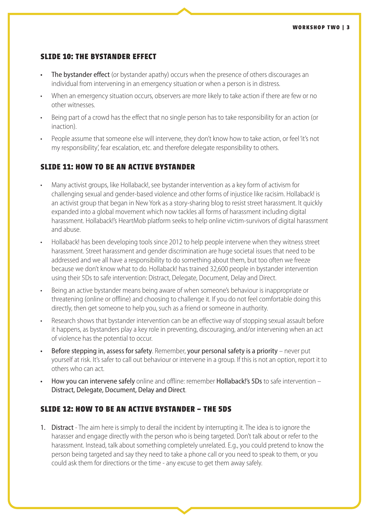#### **SLIDE 10: THE BYSTANDER EFFECT**

- The bystander effect (or bystander apathy) occurs when the presence of others discourages an individual from intervening in an emergency situation or when a person is in distress.
- When an emergency situation occurs, observers are more likely to take action if there are few or no other witnesses.
- Being part of a crowd has the effect that no single person has to take responsibility for an action (or inaction).
- People assume that someone else will intervene, they don't know how to take action, or feel 'it's not my responsibility', fear escalation, etc. and therefore delegate responsibility to others.

#### **SLIDE 11: HOW TO BE AN ACTIVE BYSTANDER**

- Many activist groups, like Hollaback!, see bystander intervention as a key form of activism for challenging sexual and gender-based violence and other forms of injustice like racisim. Hollaback! is an activist group that began in New York as a story-sharing blog to resist street harassment. It quickly expanded into a global movement which now tackles all forms of harassment including digital harassment. Hollaback!'s HeartMob platform seeks to help online victim-survivors of digital harassment and abuse.
- Hollaback! has been developing tools since 2012 to help people intervene when they witness street harassment. Street harassment and gender discrimination are huge societal issues that need to be addressed and we all have a responsibility to do something about them, but too often we freeze because we don't know what to do. Hollaback! has trained 32,600 people in bystander intervention using their 5Ds to safe intervention: Distract, Delegate, Document, Delay and Direct.
- Being an active bystander means being aware of when someone's behaviour is inappropriate or threatening (online or offline) and choosing to challenge it. If you do not feel comfortable doing this directly, then get someone to help you, such as a friend or someone in authority.
- Research shows that bystander intervention can be an effective way of stopping sexual assault before it happens, as bystanders play a key role in preventing, discouraging, and/or intervening when an act of violence has the potential to occur.
- Before stepping in, assess for safety. Remember, your personal safety is a priority never put yourself at risk. It's safer to call out behaviour or intervene in a group. If this is not an option, report it to others who can act.
- How you can intervene safely online and offline: remember Hollaback!'s 5Ds to safe intervention Distract, Delegate, Document, Delay and Direct.

#### **SLIDE 12: HOW TO BE AN ACTIVE BYSTANDER – THE 5DS**

1. Distract - The aim here is simply to derail the incident by interrupting it. The idea is to ignore the harasser and engage directly with the person who is being targeted. Don't talk about or refer to the harassment. Instead, talk about something completely unrelated. E.g., you could pretend to know the person being targeted and say they need to take a phone call or you need to speak to them, or you could ask them for directions or the time - any excuse to get them away safely.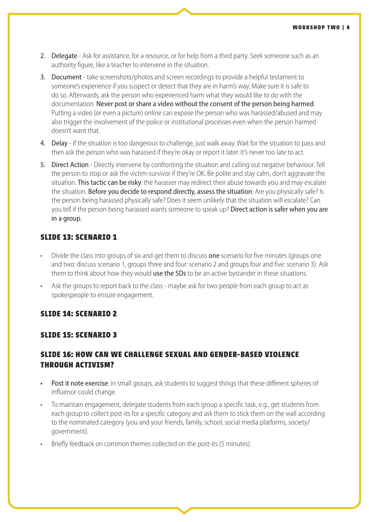- 2. Delegate Ask for assistance, for a resource, or for help from a third party. Seek someone such as an authority figure, like a teacher to intervene in the situation.
- 3. Document take screenshots/photos and screen recordings to provide a helpful testament to someone's experience if you suspect or detect that they are in harm's way. Make sure it is safe to do so. Afterwards, ask the person who experienced harm what they would like to do with the documentation. Never post or share a video without the consent of the person being harmed. Putting a video (or even a picture) online can expose the person who was harassed/abused and may also trigger the involvement of the police or institutional processes even when the person harmed doesn't want that.
- 4. Delay if the situation is too dangerous to challenge, just walk away. Wait for the situation to pass and then ask the person who was harassed if they're okay or report it later. It's never too late to act.
- 5. Direct Action Directly intervene by confronting the situation and calling out negative behaviour. Tell the person to stop or ask the victim-survivor if they're OK. Be polite and stay calm, don't aggravate the situation. This tactic can be risky: the harasser may redirect their abuse towards you and may escalate the situation. Before you decide to respond directly, assess the situation: Are you physically safe? Is the person being harassed physically safe? Does it seem unlikely that the situation will escalate? Can you tell if the person being harassed wants someone to speak up? Direct action is safer when you are in a group.

#### **SLIDE 13: SCENARIO 1**

- Divide the class into groups of six and get them to discuss **one** scenario for five minutes (groups one and two: discuss scenario 1, groups three and four: scenario 2 and groups four and five: scenario 3). Ask them to think about how they would use the 5Ds to be an active bystander in these situations.
- Ask the groups to report back to the class maybe ask for two people from each group to act as spokespeople to ensure engagement.

#### **SLIDE 14: SCENARIO 2**

#### **SLIDE 15: SCENARIO 3**

#### **SLIDE 16: HOW CAN WE CHALLENGE SEXUAL AND GENDER-BASED VIOLENCE THROUGH ACTIVISM?**

- Post it note exercise: in small groups, ask students to suggest things that these different spheres of influence could change.
- To maintain engagement, delegate students from each group a specific task, e.g., get students from each group to collect post-its for a specific category and ask them to stick them on the wall according to the nominated category (you and your friends, family, school, social media platforms, society/ government).
- Briefly feedback on common themes collected on the post-its (5 minutes).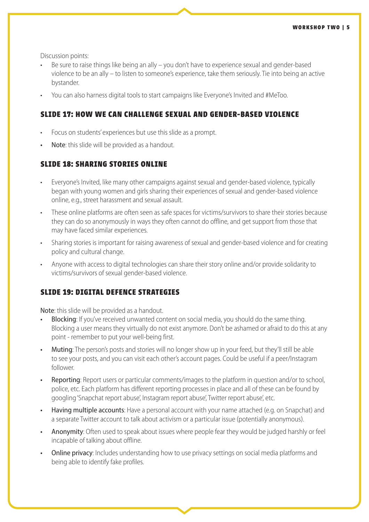Discussion points:

- Be sure to raise things like being an ally you don't have to experience sexual and gender-based violence to be an ally – to listen to someone's experience, take them seriously. Tie into being an active bystander.
- You can also harness digital tools to start campaigns like Everyone's Invited and #MeToo.

#### **SLIDE 17: HOW WE CAN CHALLENGE SEXUAL AND GENDER-BASED VIOLENCE**

- Focus on students' experiences but use this slide as a prompt.
- Note: this slide will be provided as a handout.

#### **SLIDE 18: SHARING STORIES ONLINE**

- Everyone's Invited, like many other campaigns against sexual and gender-based violence, typically began with young women and girls sharing their experiences of sexual and gender-based violence online, e.g., street harassment and sexual assault.
- These online platforms are often seen as safe spaces for victims/survivors to share their stories because they can do so anonymously in ways they often cannot do offline, and get support from those that may have faced similar experiences.
- Sharing stories is important for raising awareness of sexual and gender-based violence and for creating policy and cultural change.
- Anyone with access to digital technologies can share their story online and/or provide solidarity to victims/survivors of sexual gender-based violence.

#### **SLIDE 19: DIGITAL DEFENCE STRATEGIES**

Note: this slide will be provided as a handout.

- Blocking: If you've received unwanted content on social media, you should do the same thing. Blocking a user means they virtually do not exist anymore. Don't be ashamed or afraid to do this at any point - remember to put your well-being first.
- Muting: The person's posts and stories will no longer show up in your feed, but they'll still be able to see your posts, and you can visit each other's account pages. Could be useful if a peer/Instagram follower.
- Reporting: Report users or particular comments/images to the platform in question and/or to school, police, etc. Each platform has different reporting processes in place and all of these can be found by googling 'Snapchat report abuse', Instagram report abuse', Twitter report abuse', etc.
- Having multiple accounts: Have a personal account with your name attached (e.g. on Snapchat) and a separate Twitter account to talk about activism or a particular issue (potentially anonymous).
- Anonymity: Often used to speak about issues where people fear they would be judged harshly or feel incapable of talking about offline.
- Online privacy: Includes understanding how to use privacy settings on social media platforms and being able to identify fake profiles.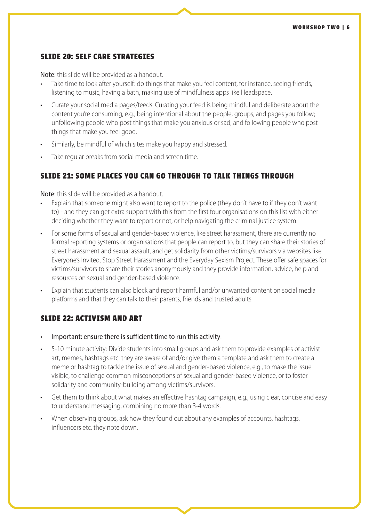#### **SLIDE 20: SELF CARE STRATEGIES**

Note: this slide will be provided as a handout.

- Take time to look after yourself: do things that make you feel content, for instance, seeing friends, listening to music, having a bath, making use of mindfulness apps like Headspace.
- Curate your social media pages/feeds. Curating your feed is being mindful and deliberate about the content you're consuming, e.g., being intentional about the people, groups, and pages you follow; unfollowing people who post things that make you anxious or sad; and following people who post things that make you feel good.
- Similarly, be mindful of which sites make you happy and stressed.
- Take regular breaks from social media and screen time.

#### **SLIDE 21: SOME PLACES YOU CAN GO THROUGH TO TALK THINGS THROUGH**

Note: this slide will be provided as a handout.

- Explain that someone might also want to report to the police (they don't have to if they don't want to) - and they can get extra support with this from the first four organisations on this list with either deciding whether they want to report or not, or help navigating the criminal justice system.
- For some forms of sexual and gender-based violence, like street harassment, there are currently no formal reporting systems or organisations that people can report to, but they can share their stories of street harassment and sexual assault, and get solidarity from other victims/survivors via websites like Everyone's Invited, Stop Street Harassment and the Everyday Sexism Project. These offer safe spaces for victims/survivors to share their stories anonymously and they provide information, advice, help and resources on sexual and gender-based violence.
- Explain that students can also block and report harmful and/or unwanted content on social media platforms and that they can talk to their parents, friends and trusted adults.

#### **SLIDE 22: ACTIVISM AND ART**

- Important: ensure there is sufficient time to run this activity.
- 5-10 minute activity: Divide students into small groups and ask them to provide examples of activist art, memes, hashtags etc. they are aware of and/or give them a template and ask them to create a meme or hashtag to tackle the issue of sexual and gender-based violence, e.g., to make the issue visible, to challenge common misconceptions of sexual and gender-based violence, or to foster solidarity and community-building among victims/survivors.
- Get them to think about what makes an effective hashtag campaign, e.g., using clear, concise and easy to understand messaging, combining no more than 3-4 words.
- When observing groups, ask how they found out about any examples of accounts, hashtags, influencers etc. they note down.